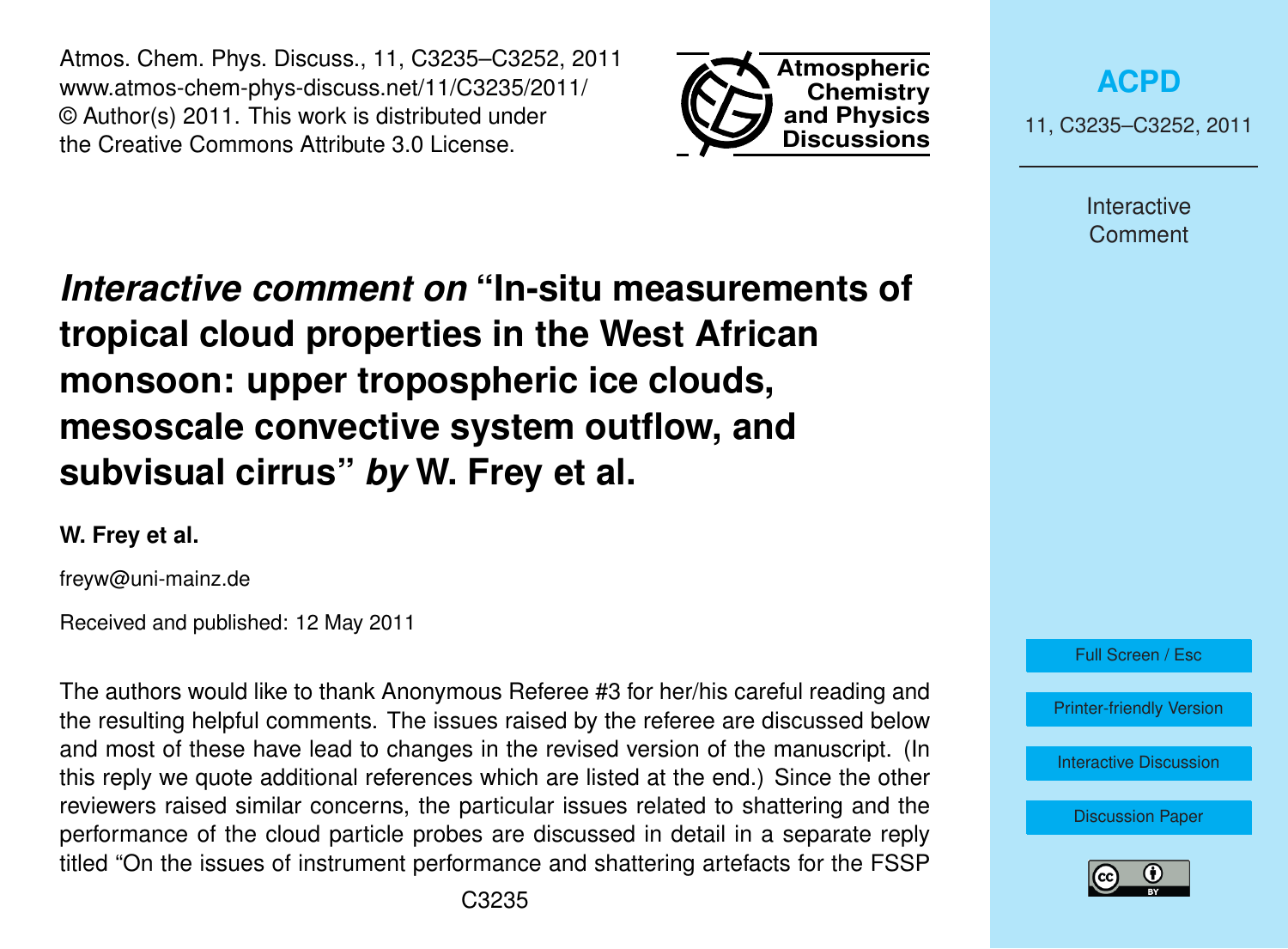Atmos. Chem. Phys. Discuss., 11, C3235–C3252, 2011 www.atmos-chem-phys-discuss.net/11/C3235/2011/ © Author(s) 2011. This work is distributed under the Creative Commons Attribute 3.0 License.



**[ACPD](http://www.atmos-chem-phys-discuss.net)**

11, C3235–C3252, 2011

Interactive Comment

*Interactive comment on* **"In-situ measurements of tropical cloud properties in the West African monsoon: upper tropospheric ice clouds, mesoscale convective system outflow, and subvisual cirrus"** *by* **W. Frey et al.**

**W. Frey et al.**

freyw@uni-mainz.de

Received and published: 12 May 2011

The authors would like to thank Anonymous Referee #3 for her/his careful reading and the resulting helpful comments. The issues raised by the referee are discussed below and most of these have lead to changes in the revised version of the manuscript. (In this reply we quote additional references which are listed at the end.) Since the other reviewers raised similar concerns, the particular issues related to shattering and the performance of the cloud particle probes are discussed in detail in a separate reply titled "On the issues of instrument performance and shattering artefacts for the FSSP



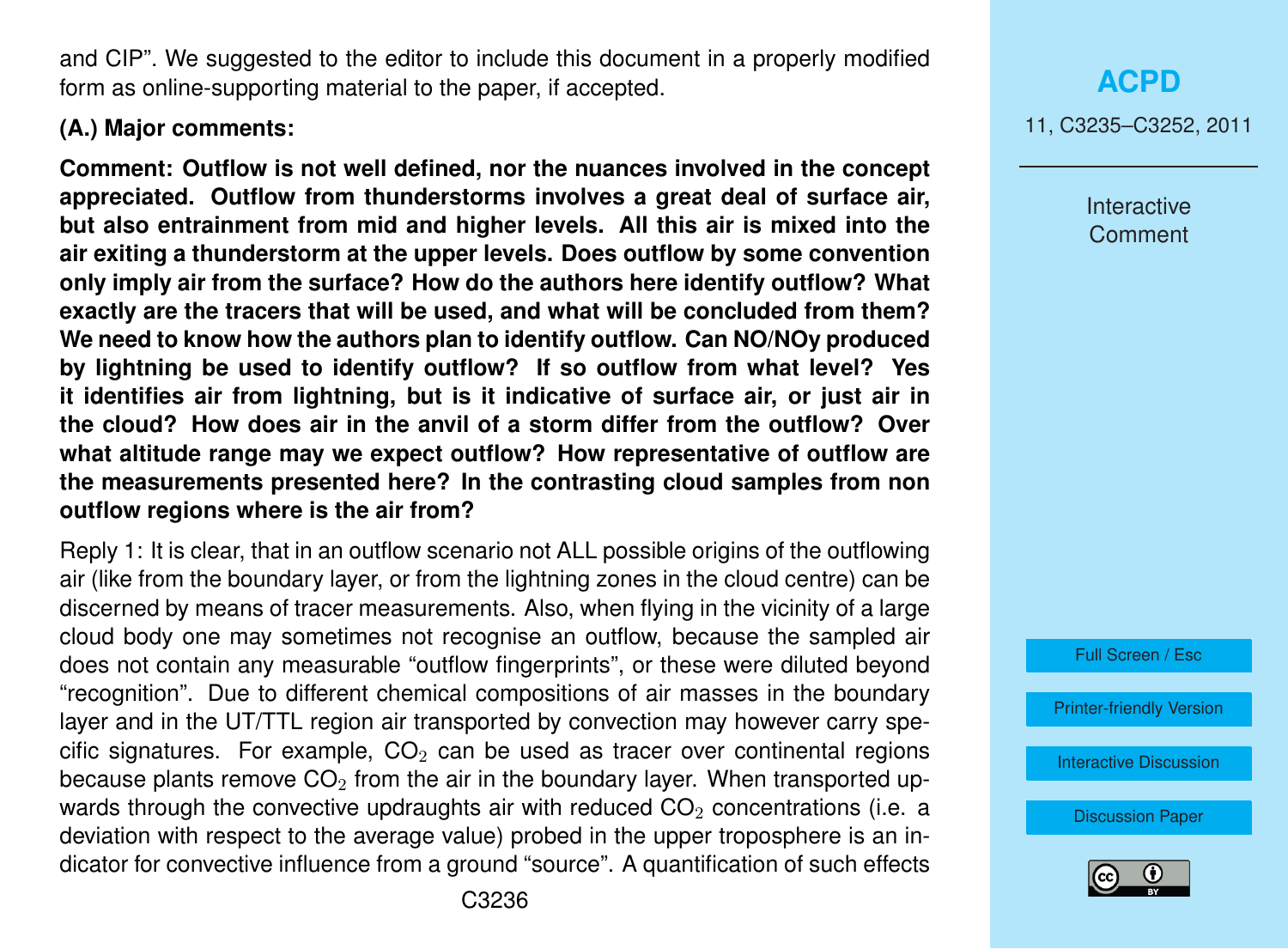and CIP". We suggested to the editor to include this document in a properly modified form as online-supporting material to the paper, if accepted.

### **(A.) Major comments:**

**Comment: Outflow is not well defined, nor the nuances involved in the concept appreciated. Outflow from thunderstorms involves a great deal of surface air, but also entrainment from mid and higher levels. All this air is mixed into the air exiting a thunderstorm at the upper levels. Does outflow by some convention only imply air from the surface? How do the authors here identify outflow? What exactly are the tracers that will be used, and what will be concluded from them? We need to know how the authors plan to identify outflow. Can NO/NOy produced by lightning be used to identify outflow? If so outflow from what level? Yes it identifies air from lightning, but is it indicative of surface air, or just air in the cloud? How does air in the anvil of a storm differ from the outflow? Over what altitude range may we expect outflow? How representative of outflow are the measurements presented here? In the contrasting cloud samples from non outflow regions where is the air from?**

Reply 1: It is clear, that in an outflow scenario not ALL possible origins of the outflowing air (like from the boundary layer, or from the lightning zones in the cloud centre) can be discerned by means of tracer measurements. Also, when flying in the vicinity of a large cloud body one may sometimes not recognise an outflow, because the sampled air does not contain any measurable "outflow fingerprints", or these were diluted beyond "recognition". Due to different chemical compositions of air masses in the boundary layer and in the UT/TTL region air transported by convection may however carry specific signatures. For example,  $CO<sub>2</sub>$  can be used as tracer over continental regions because plants remove  $CO<sub>2</sub>$  from the air in the boundary layer. When transported upwards through the convective updraughts air with reduced  $CO<sub>2</sub>$  concentrations (i.e. a deviation with respect to the average value) probed in the upper troposphere is an indicator for convective influence from a ground "source". A quantification of such effects Interactive Comment



[Printer-friendly Version](http://www.atmos-chem-phys-discuss.net/11/C3235/2011/acpd-11-C3235-2011-print.pdf)

[Interactive Discussion](http://www.atmos-chem-phys-discuss.net/11/745/2011/acpd-11-745-2011-discussion.html)

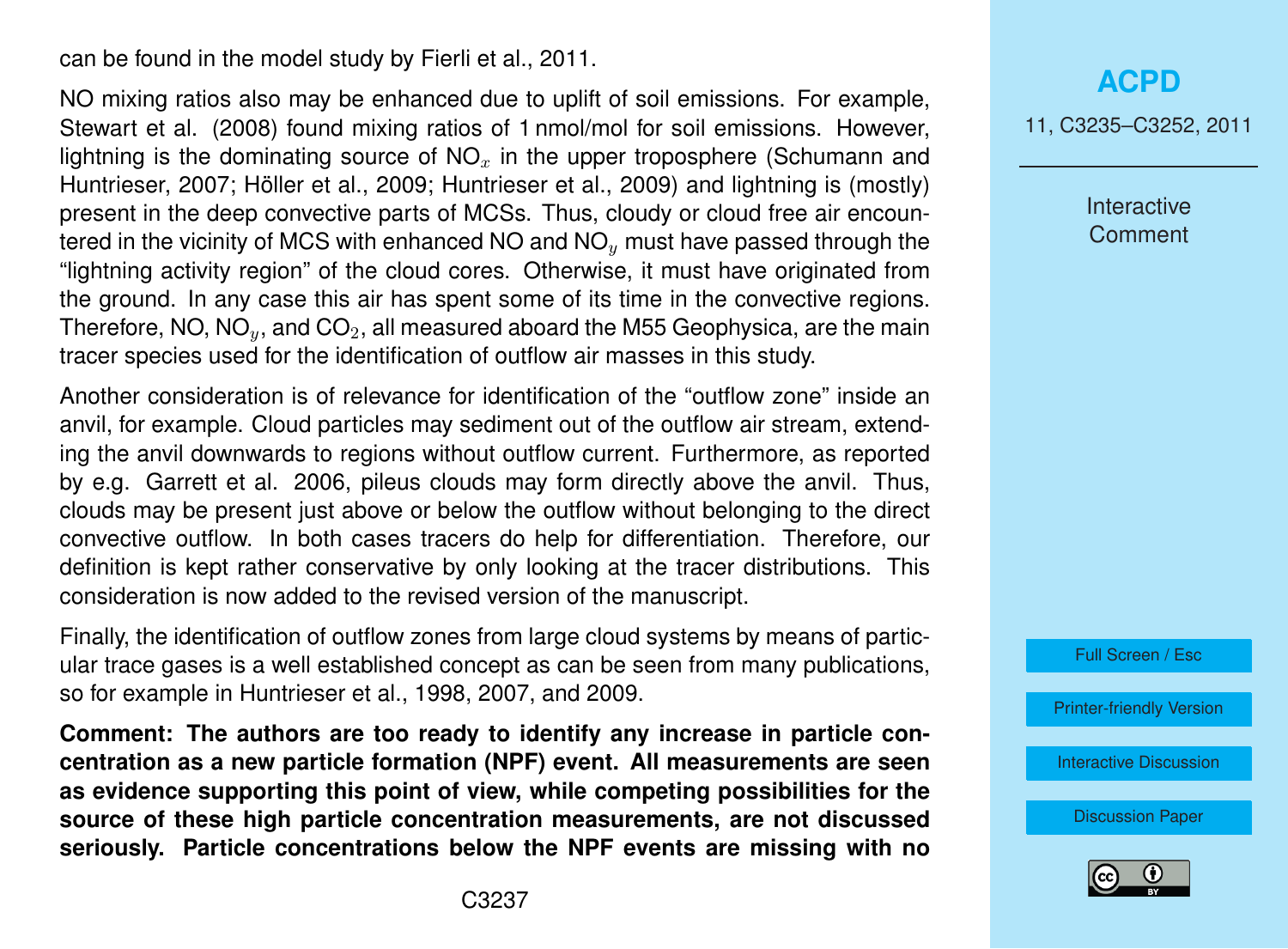can be found in the model study by Fierli et al., 2011.

NO mixing ratios also may be enhanced due to uplift of soil emissions. For example, Stewart et al. (2008) found mixing ratios of 1 nmol/mol for soil emissions. However, lightning is the dominating source of  $NO<sub>x</sub>$  in the upper troposphere (Schumann and Huntrieser, 2007; Höller et al., 2009; Huntrieser et al., 2009) and lightning is (mostly) present in the deep convective parts of MCSs. Thus, cloudy or cloud free air encountered in the vicinity of MCS with enhanced  $NO$  and  $NO<sub>y</sub>$  must have passed through the "lightning activity region" of the cloud cores. Otherwise, it must have originated from the ground. In any case this air has spent some of its time in the convective regions. Therefore, NO,  $NO_y$ , and  $CO_2$ , all measured aboard the M55 Geophysica, are the main tracer species used for the identification of outflow air masses in this study.

Another consideration is of relevance for identification of the "outflow zone" inside an anvil, for example. Cloud particles may sediment out of the outflow air stream, extending the anvil downwards to regions without outflow current. Furthermore, as reported by e.g. Garrett et al. 2006, pileus clouds may form directly above the anvil. Thus, clouds may be present just above or below the outflow without belonging to the direct convective outflow. In both cases tracers do help for differentiation. Therefore, our definition is kept rather conservative by only looking at the tracer distributions. This consideration is now added to the revised version of the manuscript.

Finally, the identification of outflow zones from large cloud systems by means of particular trace gases is a well established concept as can be seen from many publications, so for example in Huntrieser et al., 1998, 2007, and 2009.

**Comment: The authors are too ready to identify any increase in particle concentration as a new particle formation (NPF) event. All measurements are seen as evidence supporting this point of view, while competing possibilities for the source of these high particle concentration measurements, are not discussed seriously. Particle concentrations below the NPF events are missing with no**

### **[ACPD](http://www.atmos-chem-phys-discuss.net)**

11, C3235–C3252, 2011

**Interactive Comment** 



[Printer-friendly Version](http://www.atmos-chem-phys-discuss.net/11/C3235/2011/acpd-11-C3235-2011-print.pdf)

[Interactive Discussion](http://www.atmos-chem-phys-discuss.net/11/745/2011/acpd-11-745-2011-discussion.html)

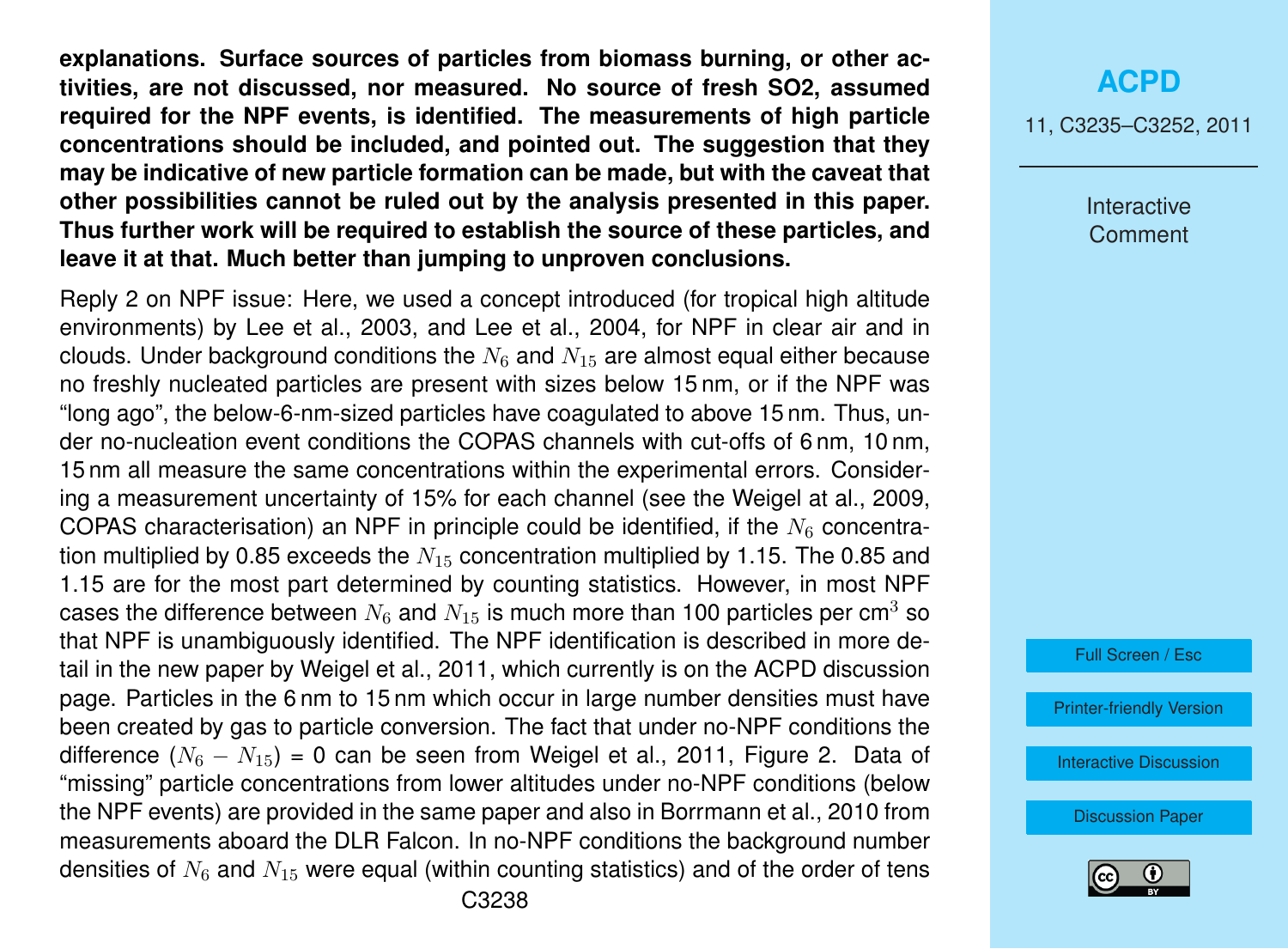**explanations. Surface sources of particles from biomass burning, or other activities, are not discussed, nor measured. No source of fresh SO2, assumed required for the NPF events, is identified. The measurements of high particle concentrations should be included, and pointed out. The suggestion that they may be indicative of new particle formation can be made, but with the caveat that other possibilities cannot be ruled out by the analysis presented in this paper. Thus further work will be required to establish the source of these particles, and leave it at that. Much better than jumping to unproven conclusions.**

Reply 2 on NPF issue: Here, we used a concept introduced (for tropical high altitude environments) by Lee et al., 2003, and Lee et al., 2004, for NPF in clear air and in clouds. Under background conditions the  $N_6$  and  $N_{15}$  are almost equal either because no freshly nucleated particles are present with sizes below 15 nm, or if the NPF was "long ago", the below-6-nm-sized particles have coagulated to above 15 nm. Thus, under no-nucleation event conditions the COPAS channels with cut-offs of 6 nm, 10 nm, 15 nm all measure the same concentrations within the experimental errors. Considering a measurement uncertainty of 15% for each channel (see the Weigel at al., 2009, COPAS characterisation) an NPF in principle could be identified, if the  $N_6$  concentration multiplied by 0.85 exceeds the  $N_{15}$  concentration multiplied by 1.15. The 0.85 and 1.15 are for the most part determined by counting statistics. However, in most NPF cases the difference between  $N_6$  and  $N_{15}$  is much more than 100 particles per cm<sup>3</sup> so that NPF is unambiguously identified. The NPF identification is described in more detail in the new paper by Weigel et al., 2011, which currently is on the ACPD discussion page. Particles in the 6 nm to 15 nm which occur in large number densities must have been created by gas to particle conversion. The fact that under no-NPF conditions the difference  $(N_6 - N_{15}) = 0$  can be seen from Weigel et al., 2011, Figure 2. Data of "missing" particle concentrations from lower altitudes under no-NPF conditions (below the NPF events) are provided in the same paper and also in Borrmann et al., 2010 from measurements aboard the DLR Falcon. In no-NPF conditions the background number densities of  $N_6$  and  $N_{15}$  were equal (within counting statistics) and of the order of tens

## **[ACPD](http://www.atmos-chem-phys-discuss.net)**

11, C3235–C3252, 2011

Interactive **Comment** 

Full Screen / Esc

[Printer-friendly Version](http://www.atmos-chem-phys-discuss.net/11/C3235/2011/acpd-11-C3235-2011-print.pdf)

[Interactive Discussion](http://www.atmos-chem-phys-discuss.net/11/745/2011/acpd-11-745-2011-discussion.html)

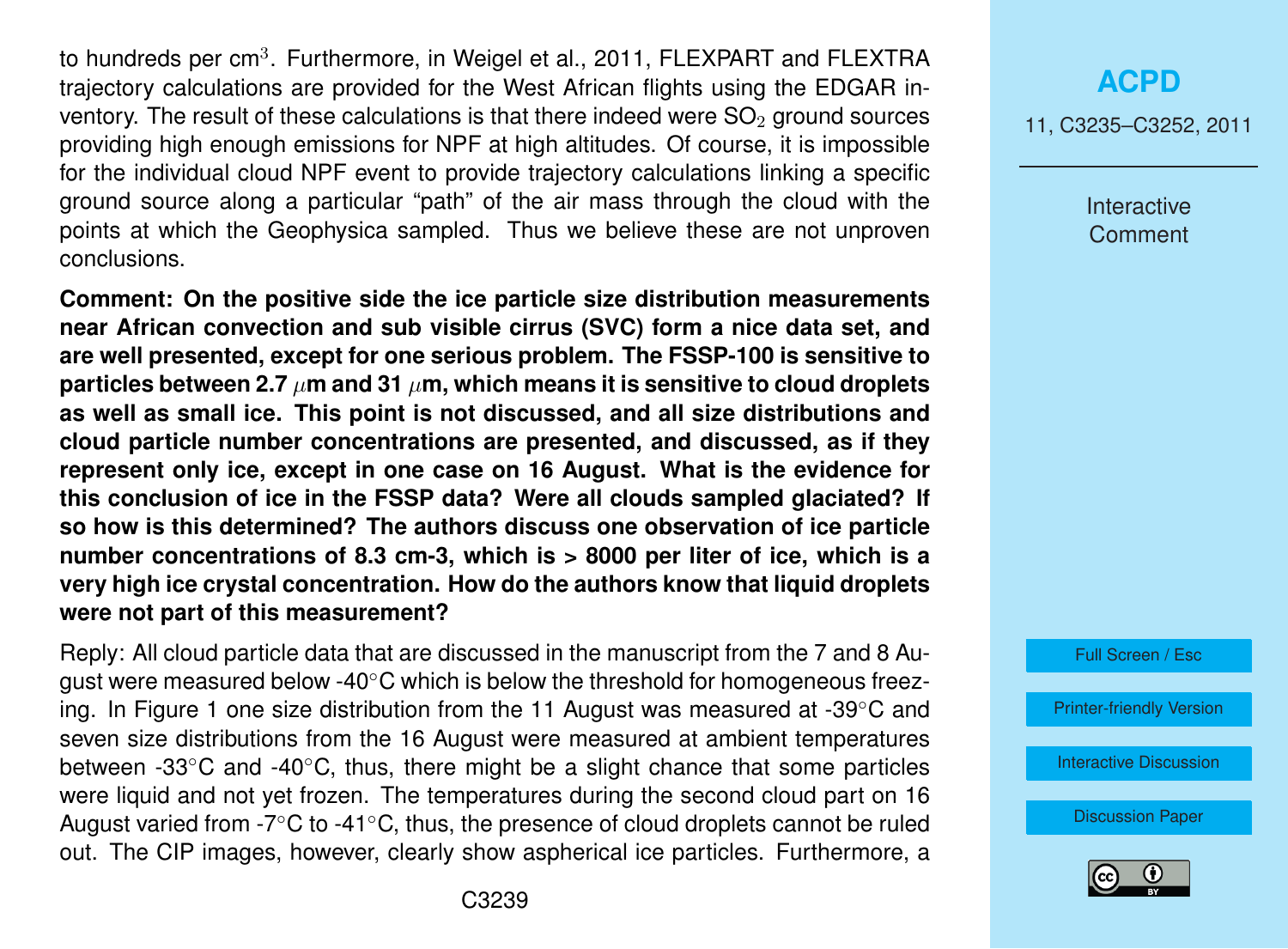to hundreds per cm $^3$ . Furthermore, in Weigel et al., 2011, FLEXPART and FLEXTRA trajectory calculations are provided for the West African flights using the EDGAR inventory. The result of these calculations is that there indeed were  $SO<sub>2</sub>$  ground sources providing high enough emissions for NPF at high altitudes. Of course, it is impossible for the individual cloud NPF event to provide trajectory calculations linking a specific ground source along a particular "path" of the air mass through the cloud with the points at which the Geophysica sampled. Thus we believe these are not unproven conclusions.

**Comment: On the positive side the ice particle size distribution measurements near African convection and sub visible cirrus (SVC) form a nice data set, and are well presented, except for one serious problem. The FSSP-100 is sensitive to particles between 2.7**  $\mu$ m and 31  $\mu$ m, which means it is sensitive to cloud droplets **as well as small ice. This point is not discussed, and all size distributions and cloud particle number concentrations are presented, and discussed, as if they represent only ice, except in one case on 16 August. What is the evidence for this conclusion of ice in the FSSP data? Were all clouds sampled glaciated? If so how is this determined? The authors discuss one observation of ice particle number concentrations of 8.3 cm-3, which is > 8000 per liter of ice, which is a very high ice crystal concentration. How do the authors know that liquid droplets were not part of this measurement?**

Reply: All cloud particle data that are discussed in the manuscript from the 7 and 8 August were measured below -40 $\degree$ C which is below the threshold for homogeneous freezing. In Figure 1 one size distribution from the 11 August was measured at -39◦C and seven size distributions from the 16 August were measured at ambient temperatures between -33◦C and -40◦C, thus, there might be a slight chance that some particles were liquid and not yet frozen. The temperatures during the second cloud part on 16 August varied from -7 $\degree$ C to -41 $\degree$ C, thus, the presence of cloud droplets cannot be ruled out. The CIP images, however, clearly show aspherical ice particles. Furthermore, a 11, C3235–C3252, 2011

Interactive Comment



[Printer-friendly Version](http://www.atmos-chem-phys-discuss.net/11/C3235/2011/acpd-11-C3235-2011-print.pdf)

[Interactive Discussion](http://www.atmos-chem-phys-discuss.net/11/745/2011/acpd-11-745-2011-discussion.html)

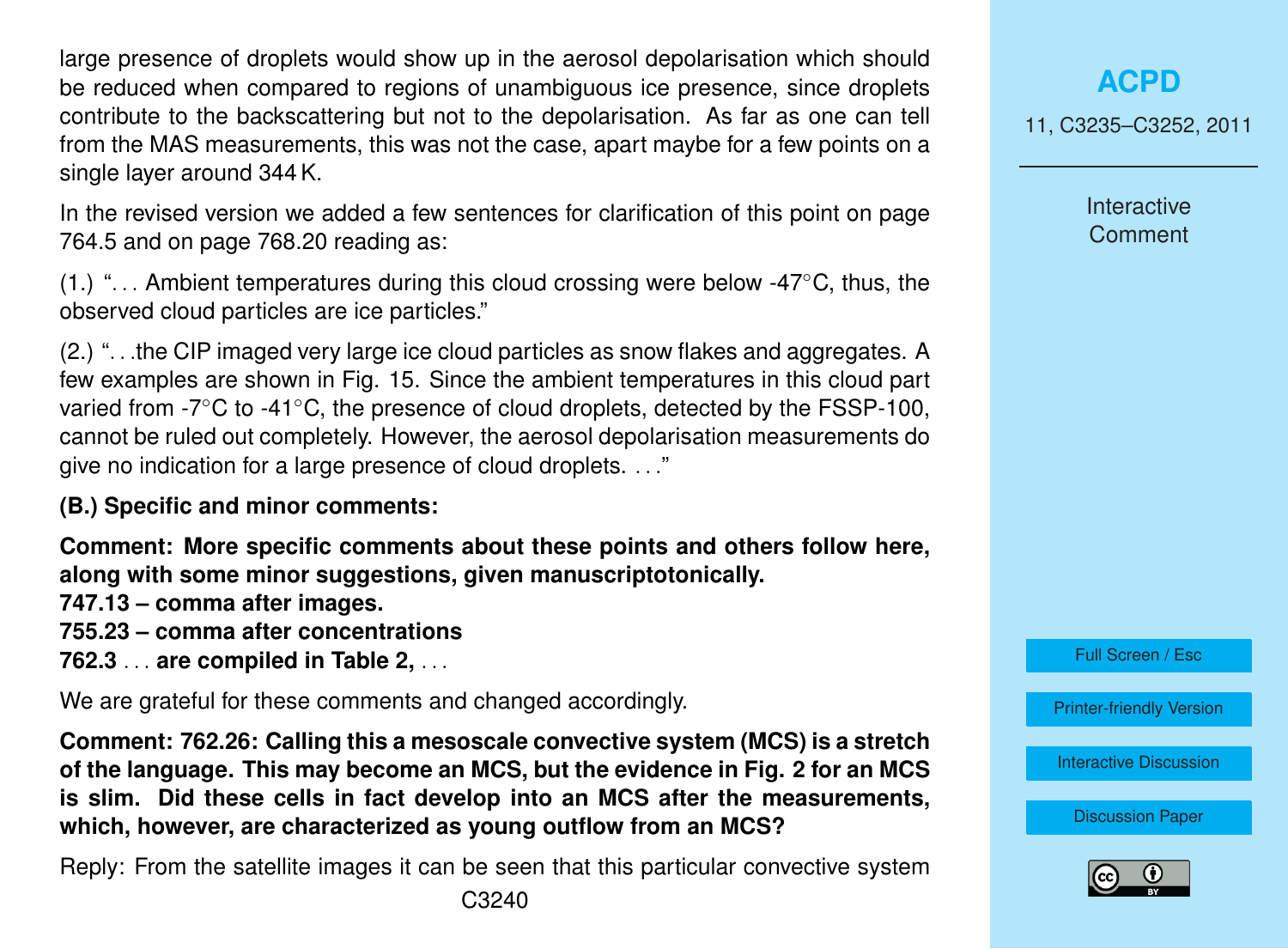large presence of droplets would show up in the aerosol depolarisation which should be reduced when compared to regions of unambiguous ice presence, since droplets contribute to the backscattering but not to the depolarisation. As far as one can tell from the MAS measurements, this was not the case, apart maybe for a few points on a single layer around 344 K.

In the revised version we added a few sentences for clarification of this point on page 764.5 and on page 768.20 reading as:

(1.) "... Ambient temperatures during this cloud crossing were below -47 $\degree$ C, thus, the observed cloud particles are ice particles."

(2.) ". . .the CIP imaged very large ice cloud particles as snow flakes and aggregates. A few examples are shown in Fig. 15. Since the ambient temperatures in this cloud part varied from -7◦C to -41◦C, the presence of cloud droplets, detected by the FSSP-100, cannot be ruled out completely. However, the aerosol depolarisation measurements do give no indication for a large presence of cloud droplets. . . ."

**(B.) Specific and minor comments:**

**Comment: More specific comments about these points and others follow here, along with some minor suggestions, given manuscriptotonically.**

**747.13 – comma after images.**

**755.23 – comma after concentrations**

**762.3** . . . **are compiled in Table 2,** . . .

We are grateful for these comments and changed accordingly.

**Comment: 762.26: Calling this a mesoscale convective system (MCS) is a stretch of the language. This may become an MCS, but the evidence in Fig. 2 for an MCS is slim. Did these cells in fact develop into an MCS after the measurements, which, however, are characterized as young outflow from an MCS?**

Reply: From the satellite images it can be seen that this particular convective system

## **[ACPD](http://www.atmos-chem-phys-discuss.net)**

11, C3235–C3252, 2011

Interactive **Comment** 

Full Screen / Esc

[Printer-friendly Version](http://www.atmos-chem-phys-discuss.net/11/C3235/2011/acpd-11-C3235-2011-print.pdf)

[Interactive Discussion](http://www.atmos-chem-phys-discuss.net/11/745/2011/acpd-11-745-2011-discussion.html)

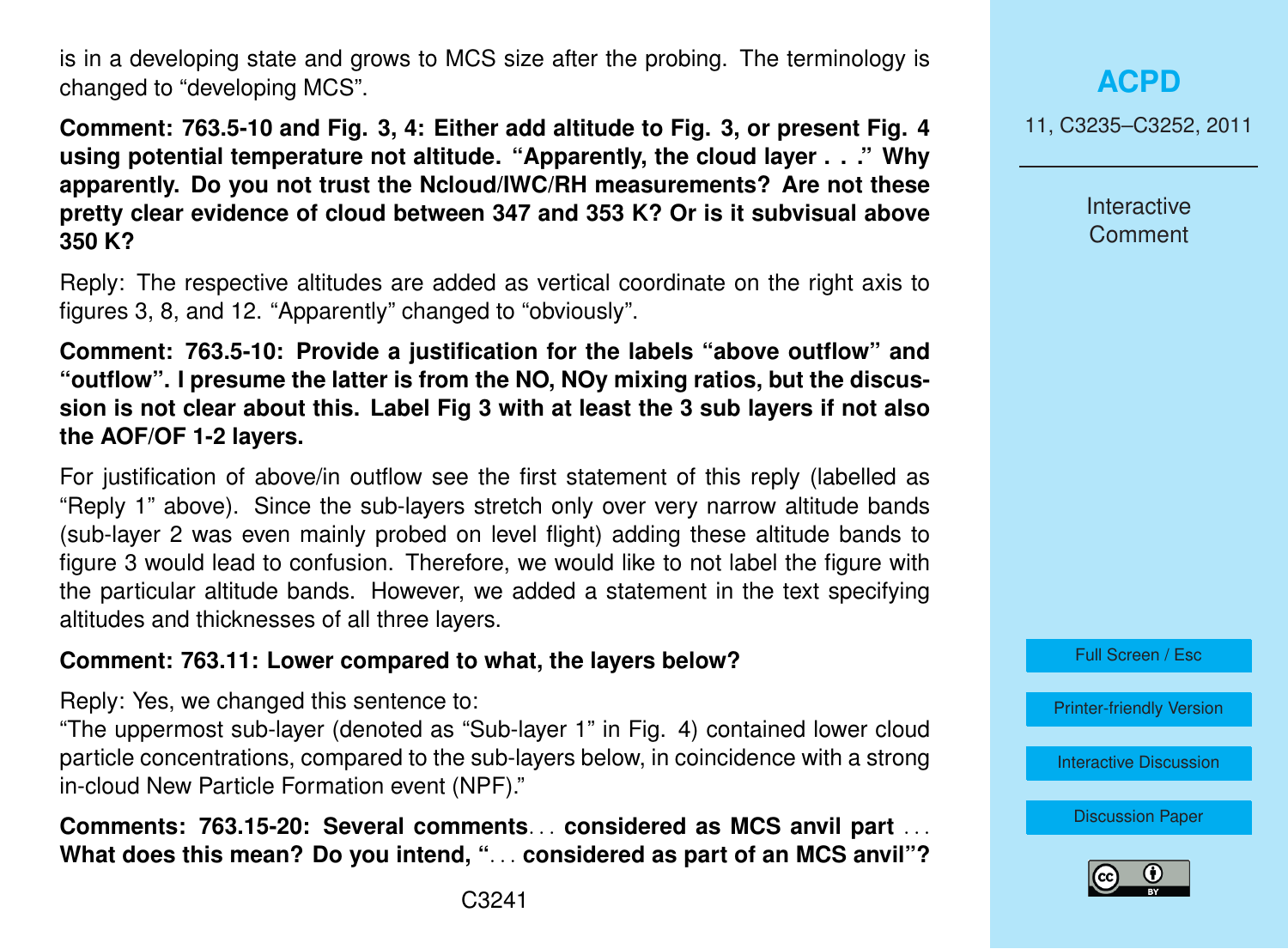is in a developing state and grows to MCS size after the probing. The terminology is changed to "developing MCS".

**Comment: 763.5-10 and Fig. 3, 4: Either add altitude to Fig. 3, or present Fig. 4 using potential temperature not altitude. "Apparently, the cloud layer . . ." Why apparently. Do you not trust the Ncloud/IWC/RH measurements? Are not these pretty clear evidence of cloud between 347 and 353 K? Or is it subvisual above 350 K?**

Reply: The respective altitudes are added as vertical coordinate on the right axis to figures 3, 8, and 12. "Apparently" changed to "obviously".

**Comment: 763.5-10: Provide a justification for the labels "above outflow" and "outflow". I presume the latter is from the NO, NOy mixing ratios, but the discussion is not clear about this. Label Fig 3 with at least the 3 sub layers if not also the AOF/OF 1-2 layers.**

For justification of above/in outflow see the first statement of this reply (labelled as "Reply 1" above). Since the sub-layers stretch only over very narrow altitude bands (sub-layer 2 was even mainly probed on level flight) adding these altitude bands to figure 3 would lead to confusion. Therefore, we would like to not label the figure with the particular altitude bands. However, we added a statement in the text specifying altitudes and thicknesses of all three layers.

### **Comment: 763.11: Lower compared to what, the layers below?**

Reply: Yes, we changed this sentence to:

"The uppermost sub-layer (denoted as "Sub-layer 1" in Fig. 4) contained lower cloud particle concentrations, compared to the sub-layers below, in coincidence with a strong in-cloud New Particle Formation event (NPF)."

**Comments: 763.15-20: Several comments**. . . **considered as MCS anvil part** . . . **What does this mean? Do you intend, "**. . . **considered as part of an MCS anvil"?** 11, C3235–C3252, 2011

**Interactive Comment** 

Full Screen / Esc

[Printer-friendly Version](http://www.atmos-chem-phys-discuss.net/11/C3235/2011/acpd-11-C3235-2011-print.pdf)

[Interactive Discussion](http://www.atmos-chem-phys-discuss.net/11/745/2011/acpd-11-745-2011-discussion.html)

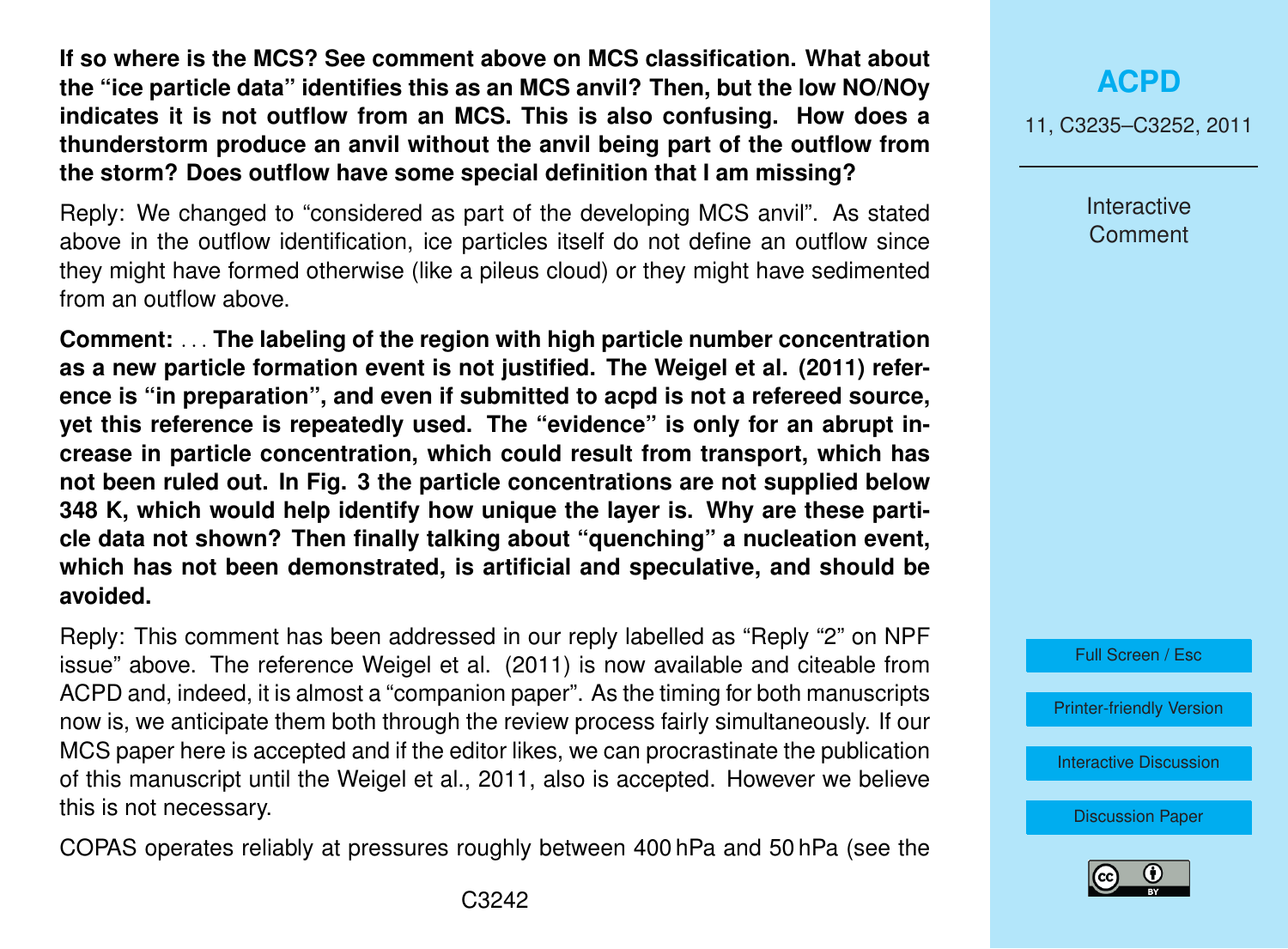**If so where is the MCS? See comment above on MCS classification. What about the "ice particle data" identifies this as an MCS anvil? Then, but the low NO/NOy indicates it is not outflow from an MCS. This is also confusing. How does a thunderstorm produce an anvil without the anvil being part of the outflow from the storm? Does outflow have some special definition that I am missing?**

Reply: We changed to "considered as part of the developing MCS anvil". As stated above in the outflow identification, ice particles itself do not define an outflow since they might have formed otherwise (like a pileus cloud) or they might have sedimented from an outflow above.

**Comment:** . . . **The labeling of the region with high particle number concentration as a new particle formation event is not justified. The Weigel et al. (2011) reference is "in preparation", and even if submitted to acpd is not a refereed source, yet this reference is repeatedly used. The "evidence" is only for an abrupt increase in particle concentration, which could result from transport, which has not been ruled out. In Fig. 3 the particle concentrations are not supplied below 348 K, which would help identify how unique the layer is. Why are these particle data not shown? Then finally talking about "quenching" a nucleation event, which has not been demonstrated, is artificial and speculative, and should be avoided.**

Reply: This comment has been addressed in our reply labelled as "Reply "2" on NPF issue" above. The reference Weigel et al. (2011) is now available and citeable from ACPD and, indeed, it is almost a "companion paper". As the timing for both manuscripts now is, we anticipate them both through the review process fairly simultaneously. If our MCS paper here is accepted and if the editor likes, we can procrastinate the publication of this manuscript until the Weigel et al., 2011, also is accepted. However we believe this is not necessary.

COPAS operates reliably at pressures roughly between 400 hPa and 50 hPa (see the

## **[ACPD](http://www.atmos-chem-phys-discuss.net)**

11, C3235–C3252, 2011

**Interactive Comment** 



[Printer-friendly Version](http://www.atmos-chem-phys-discuss.net/11/C3235/2011/acpd-11-C3235-2011-print.pdf)

[Interactive Discussion](http://www.atmos-chem-phys-discuss.net/11/745/2011/acpd-11-745-2011-discussion.html)

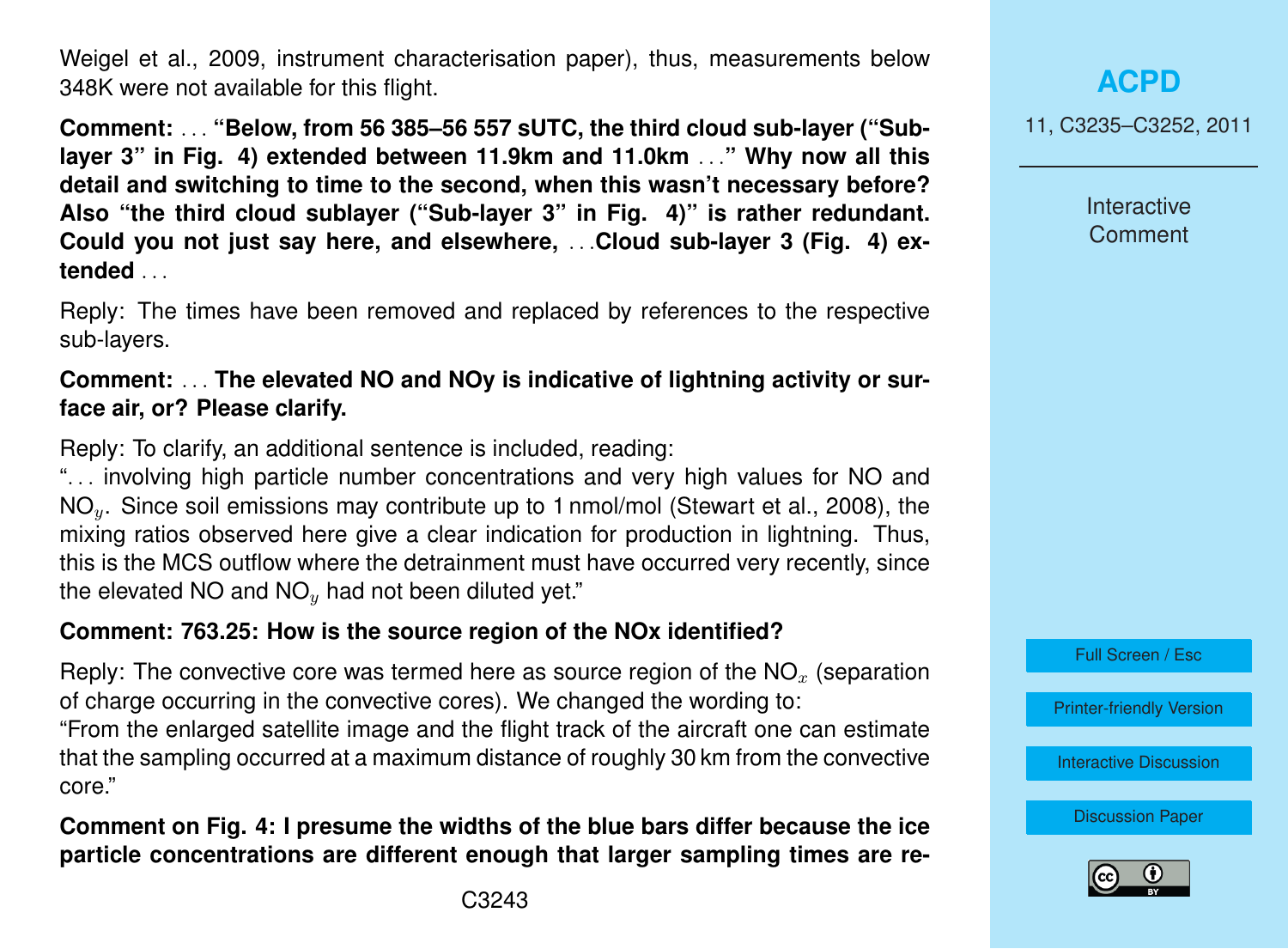Weigel et al., 2009, instrument characterisation paper), thus, measurements below 348K were not available for this flight.

**Comment:** . . . **"Below, from 56 385–56 557 sUTC, the third cloud sub-layer ("Sublayer 3" in Fig. 4) extended between 11.9km and 11.0km** . . .**" Why now all this detail and switching to time to the second, when this wasn't necessary before? Also "the third cloud sublayer ("Sub-layer 3" in Fig. 4)" is rather redundant. Could you not just say here, and elsewhere,** . . .**Cloud sub-layer 3 (Fig. 4) extended** . . .

Reply: The times have been removed and replaced by references to the respective sub-layers.

### **Comment:** . . . **The elevated NO and NOy is indicative of lightning activity or surface air, or? Please clarify.**

Reply: To clarify, an additional sentence is included, reading:

"... involving high particle number concentrations and very high values for NO and NO<sub>y</sub>. Since soil emissions may contribute up to 1 nmol/mol (Stewart et al., 2008), the mixing ratios observed here give a clear indication for production in lightning. Thus, this is the MCS outflow where the detrainment must have occurred very recently, since the elevated NO and  $NO<sub>y</sub>$  had not been diluted yet."

## **Comment: 763.25: How is the source region of the NOx identified?**

Reply: The convective core was termed here as source region of the  $NO<sub>x</sub>$  (separation of charge occurring in the convective cores). We changed the wording to: "From the enlarged satellite image and the flight track of the aircraft one can estimate that the sampling occurred at a maximum distance of roughly 30 km from the convective core."

**Comment on Fig. 4: I presume the widths of the blue bars differ because the ice particle concentrations are different enough that larger sampling times are re-** 11, C3235–C3252, 2011

**Interactive Comment** 



[Printer-friendly Version](http://www.atmos-chem-phys-discuss.net/11/C3235/2011/acpd-11-C3235-2011-print.pdf)

[Interactive Discussion](http://www.atmos-chem-phys-discuss.net/11/745/2011/acpd-11-745-2011-discussion.html)

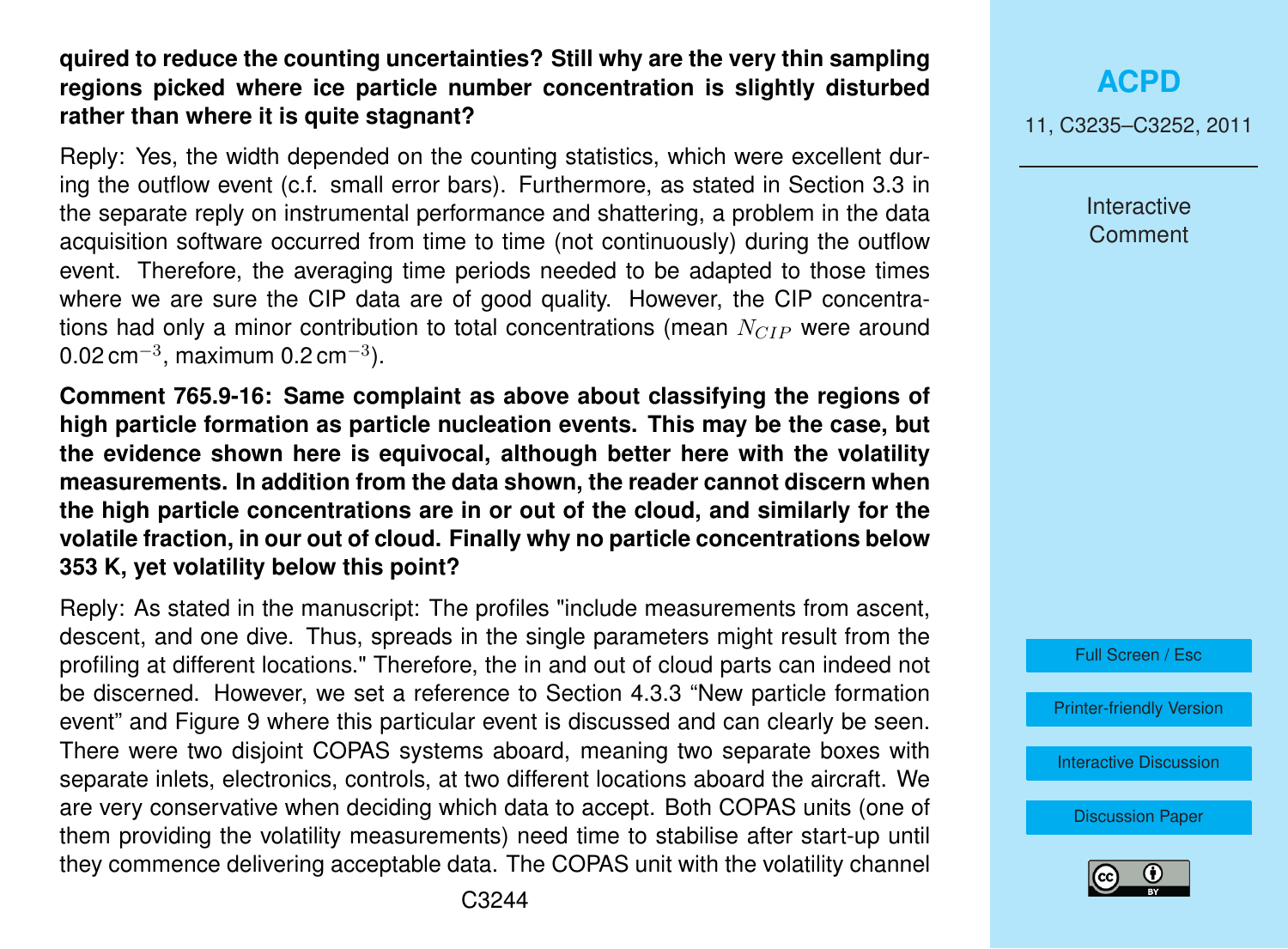### **quired to reduce the counting uncertainties? Still why are the very thin sampling regions picked where ice particle number concentration is slightly disturbed rather than where it is quite stagnant?**

Reply: Yes, the width depended on the counting statistics, which were excellent during the outflow event (c.f. small error bars). Furthermore, as stated in Section 3.3 in the separate reply on instrumental performance and shattering, a problem in the data acquisition software occurred from time to time (not continuously) during the outflow event. Therefore, the averaging time periods needed to be adapted to those times where we are sure the CIP data are of good quality. However, the CIP concentrations had only a minor contribution to total concentrations (mean  $N_{CIP}$  were around 0.02 cm $^{-3}$ , maximum 0.2 cm $^{-3}$ ).

**Comment 765.9-16: Same complaint as above about classifying the regions of high particle formation as particle nucleation events. This may be the case, but the evidence shown here is equivocal, although better here with the volatility measurements. In addition from the data shown, the reader cannot discern when the high particle concentrations are in or out of the cloud, and similarly for the volatile fraction, in our out of cloud. Finally why no particle concentrations below 353 K, yet volatility below this point?**

Reply: As stated in the manuscript: The profiles "include measurements from ascent, descent, and one dive. Thus, spreads in the single parameters might result from the profiling at different locations." Therefore, the in and out of cloud parts can indeed not be discerned. However, we set a reference to Section 4.3.3 "New particle formation event" and Figure 9 where this particular event is discussed and can clearly be seen. There were two disjoint COPAS systems aboard, meaning two separate boxes with separate inlets, electronics, controls, at two different locations aboard the aircraft. We are very conservative when deciding which data to accept. Both COPAS units (one of them providing the volatility measurements) need time to stabilise after start-up until they commence delivering acceptable data. The COPAS unit with the volatility channel

**[ACPD](http://www.atmos-chem-phys-discuss.net)** 11, C3235–C3252, 2011

> Interactive **Comment**



[Printer-friendly Version](http://www.atmos-chem-phys-discuss.net/11/C3235/2011/acpd-11-C3235-2011-print.pdf)

[Interactive Discussion](http://www.atmos-chem-phys-discuss.net/11/745/2011/acpd-11-745-2011-discussion.html)

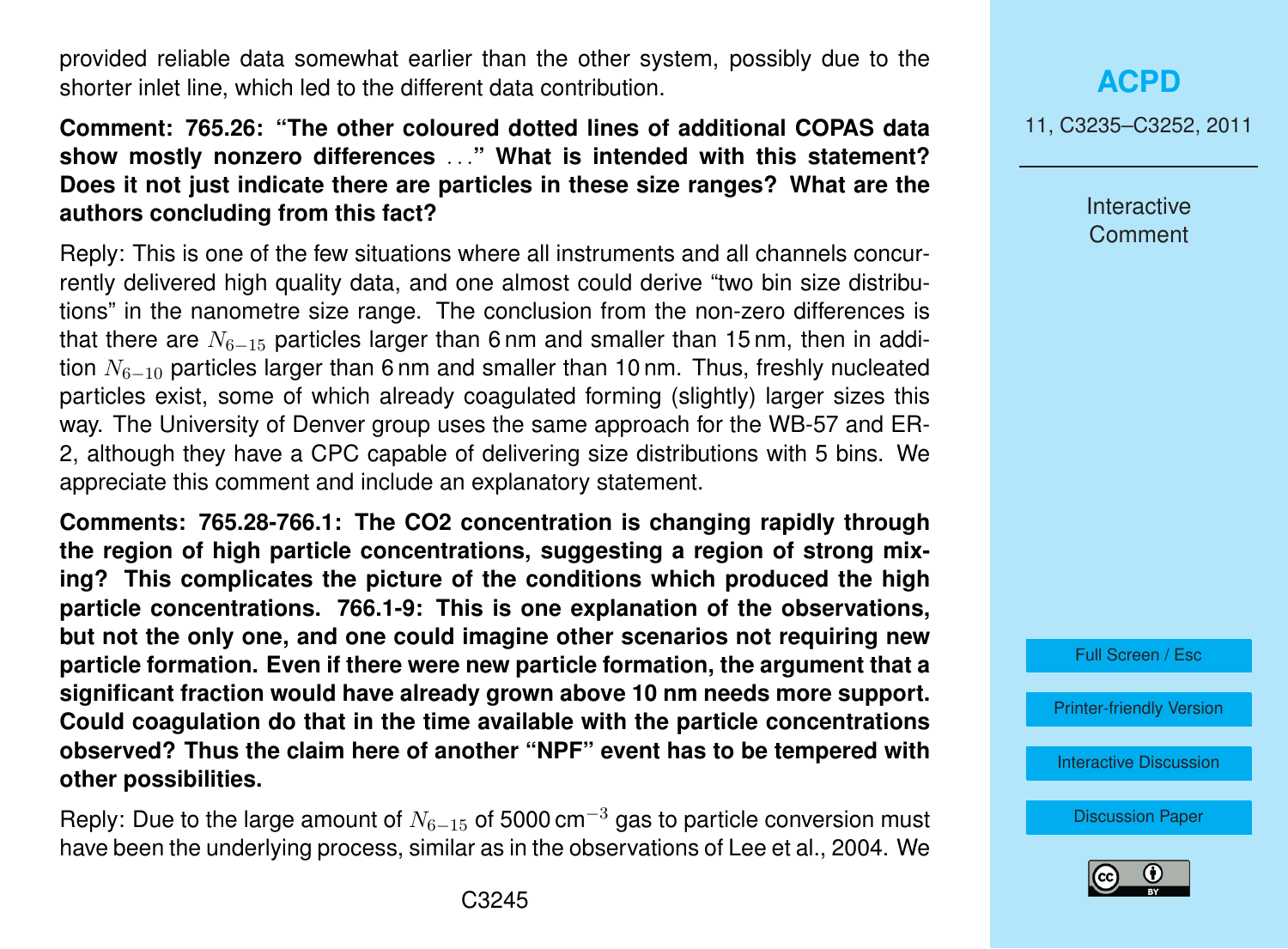provided reliable data somewhat earlier than the other system, possibly due to the shorter inlet line, which led to the different data contribution.

### **Comment: 765.26: "The other coloured dotted lines of additional COPAS data show mostly nonzero differences** . . .**" What is intended with this statement? Does it not just indicate there are particles in these size ranges? What are the authors concluding from this fact?**

Reply: This is one of the few situations where all instruments and all channels concurrently delivered high quality data, and one almost could derive "two bin size distributions" in the nanometre size range. The conclusion from the non-zero differences is that there are  $N_{6-15}$  particles larger than 6 nm and smaller than 15 nm, then in addition  $N_{6-10}$  particles larger than 6 nm and smaller than 10 nm. Thus, freshly nucleated particles exist, some of which already coagulated forming (slightly) larger sizes this way. The University of Denver group uses the same approach for the WB-57 and ER-2, although they have a CPC capable of delivering size distributions with 5 bins. We appreciate this comment and include an explanatory statement.

**Comments: 765.28-766.1: The CO2 concentration is changing rapidly through the region of high particle concentrations, suggesting a region of strong mixing? This complicates the picture of the conditions which produced the high particle concentrations. 766.1-9: This is one explanation of the observations, but not the only one, and one could imagine other scenarios not requiring new particle formation. Even if there were new particle formation, the argument that a significant fraction would have already grown above 10 nm needs more support. Could coagulation do that in the time available with the particle concentrations observed? Thus the claim here of another "NPF" event has to be tempered with other possibilities.**

Reply: Due to the large amount of  $N_{6-15}$  of 5000 cm<sup>-3</sup> gas to particle conversion must have been the underlying process, similar as in the observations of Lee et al., 2004. We

**[ACPD](http://www.atmos-chem-phys-discuss.net)**

11, C3235–C3252, 2011

Interactive **Comment** 

Full Screen / Esc

[Printer-friendly Version](http://www.atmos-chem-phys-discuss.net/11/C3235/2011/acpd-11-C3235-2011-print.pdf)

[Interactive Discussion](http://www.atmos-chem-phys-discuss.net/11/745/2011/acpd-11-745-2011-discussion.html)

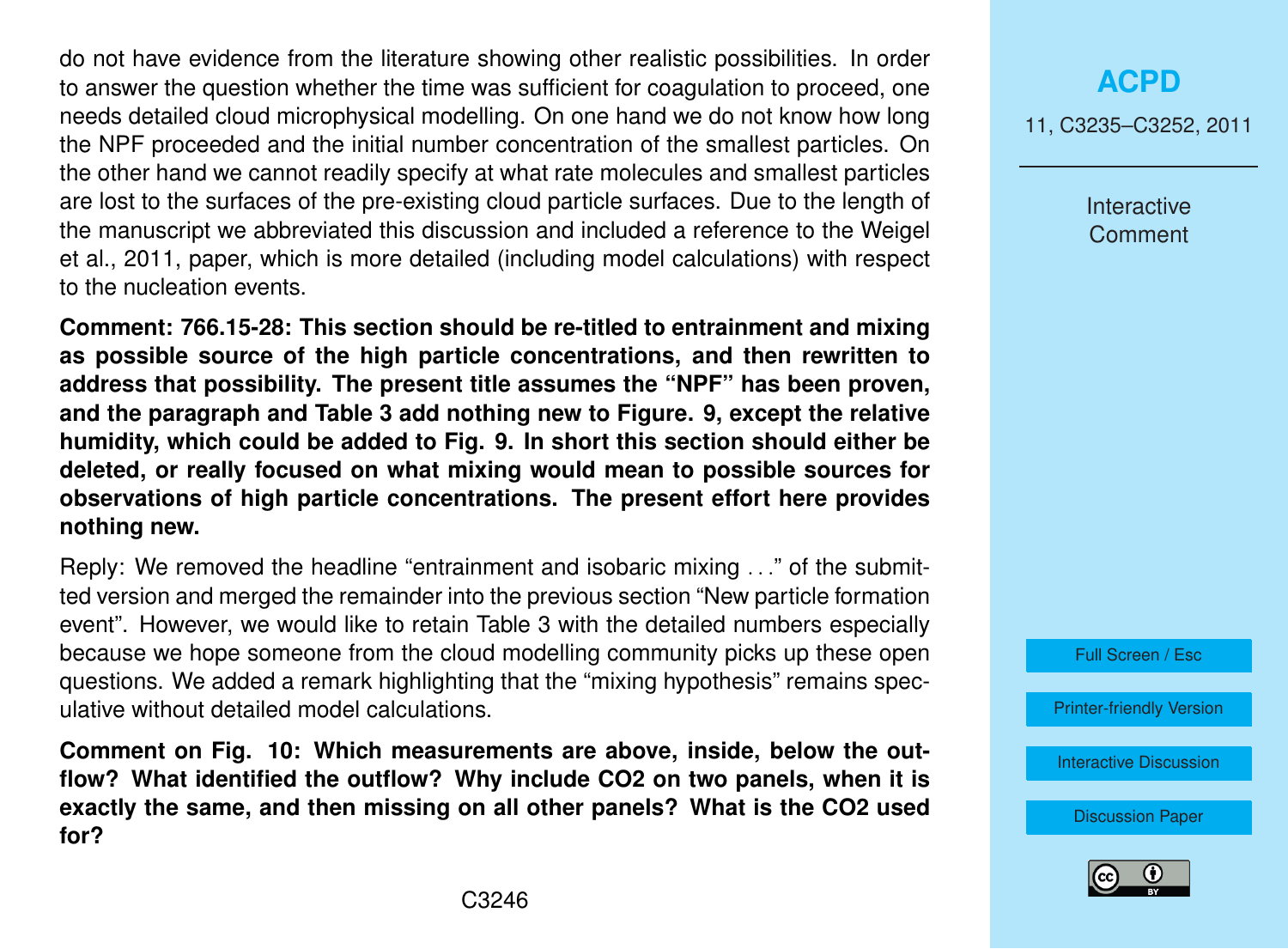do not have evidence from the literature showing other realistic possibilities. In order to answer the question whether the time was sufficient for coagulation to proceed, one needs detailed cloud microphysical modelling. On one hand we do not know how long the NPF proceeded and the initial number concentration of the smallest particles. On the other hand we cannot readily specify at what rate molecules and smallest particles are lost to the surfaces of the pre-existing cloud particle surfaces. Due to the length of the manuscript we abbreviated this discussion and included a reference to the Weigel et al., 2011, paper, which is more detailed (including model calculations) with respect to the nucleation events.

**Comment: 766.15-28: This section should be re-titled to entrainment and mixing as possible source of the high particle concentrations, and then rewritten to address that possibility. The present title assumes the "NPF" has been proven, and the paragraph and Table 3 add nothing new to Figure. 9, except the relative humidity, which could be added to Fig. 9. In short this section should either be deleted, or really focused on what mixing would mean to possible sources for observations of high particle concentrations. The present effort here provides nothing new.**

Reply: We removed the headline "entrainment and isobaric mixing . . ." of the submitted version and merged the remainder into the previous section "New particle formation event". However, we would like to retain Table 3 with the detailed numbers especially because we hope someone from the cloud modelling community picks up these open questions. We added a remark highlighting that the "mixing hypothesis" remains speculative without detailed model calculations.

**Comment on Fig. 10: Which measurements are above, inside, below the outflow? What identified the outflow? Why include CO2 on two panels, when it is exactly the same, and then missing on all other panels? What is the CO2 used for?**

# **[ACPD](http://www.atmos-chem-phys-discuss.net)**

11, C3235–C3252, 2011

Interactive Comment



[Printer-friendly Version](http://www.atmos-chem-phys-discuss.net/11/C3235/2011/acpd-11-C3235-2011-print.pdf)

[Interactive Discussion](http://www.atmos-chem-phys-discuss.net/11/745/2011/acpd-11-745-2011-discussion.html)

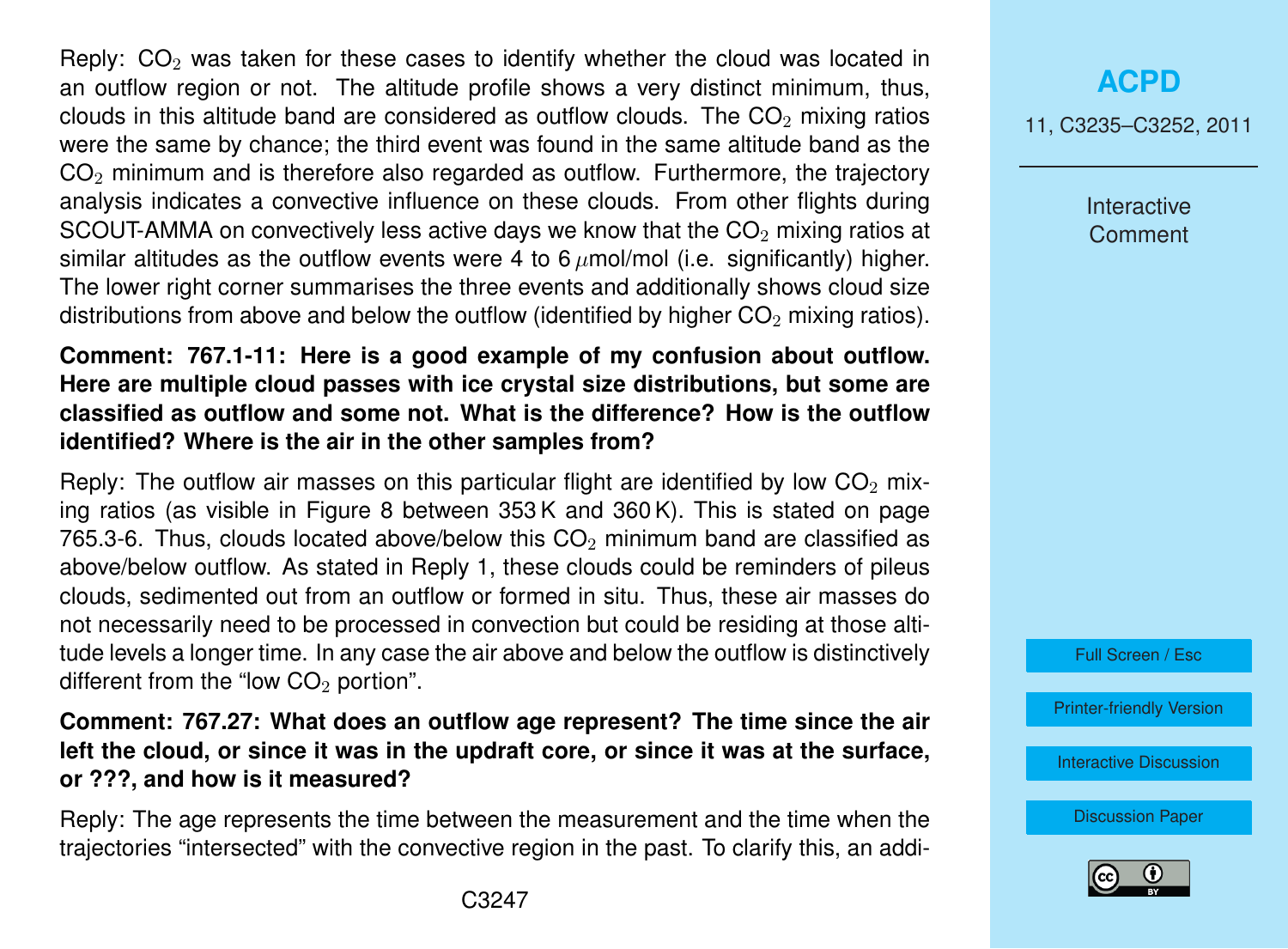Reply:  $CO<sub>2</sub>$  was taken for these cases to identify whether the cloud was located in an outflow region or not. The altitude profile shows a very distinct minimum, thus, clouds in this altitude band are considered as outflow clouds. The  $CO<sub>2</sub>$  mixing ratios were the same by chance; the third event was found in the same altitude band as the  $CO<sub>2</sub>$  minimum and is therefore also regarded as outflow. Furthermore, the traiectory analysis indicates a convective influence on these clouds. From other flights during SCOUT-AMMA on convectively less active days we know that the  $CO<sub>2</sub>$  mixing ratios at similar altitudes as the outflow events were 4 to  $6 \mu$ mol/mol (i.e. significantly) higher. The lower right corner summarises the three events and additionally shows cloud size distributions from above and below the outflow (identified by higher  $CO<sub>2</sub>$  mixing ratios).

### **Comment: 767.1-11: Here is a good example of my confusion about outflow. Here are multiple cloud passes with ice crystal size distributions, but some are classified as outflow and some not. What is the difference? How is the outflow identified? Where is the air in the other samples from?**

Reply: The outflow air masses on this particular flight are identified by low  $CO<sub>2</sub>$  mixing ratios (as visible in Figure 8 between 353 K and 360 K). This is stated on page 765.3-6. Thus, clouds located above/below this  $CO<sub>2</sub>$  minimum band are classified as above/below outflow. As stated in Reply 1, these clouds could be reminders of pileus clouds, sedimented out from an outflow or formed in situ. Thus, these air masses do not necessarily need to be processed in convection but could be residing at those altitude levels a longer time. In any case the air above and below the outflow is distinctively different from the "low  $CO<sub>2</sub>$  portion".

**Comment: 767.27: What does an outflow age represent? The time since the air left the cloud, or since it was in the updraft core, or since it was at the surface, or ???, and how is it measured?**

Reply: The age represents the time between the measurement and the time when the trajectories "intersected" with the convective region in the past. To clarify this, an addi-

### **[ACPD](http://www.atmos-chem-phys-discuss.net)**

11, C3235–C3252, 2011

Interactive **Comment** 



[Printer-friendly Version](http://www.atmos-chem-phys-discuss.net/11/C3235/2011/acpd-11-C3235-2011-print.pdf)

[Interactive Discussion](http://www.atmos-chem-phys-discuss.net/11/745/2011/acpd-11-745-2011-discussion.html)

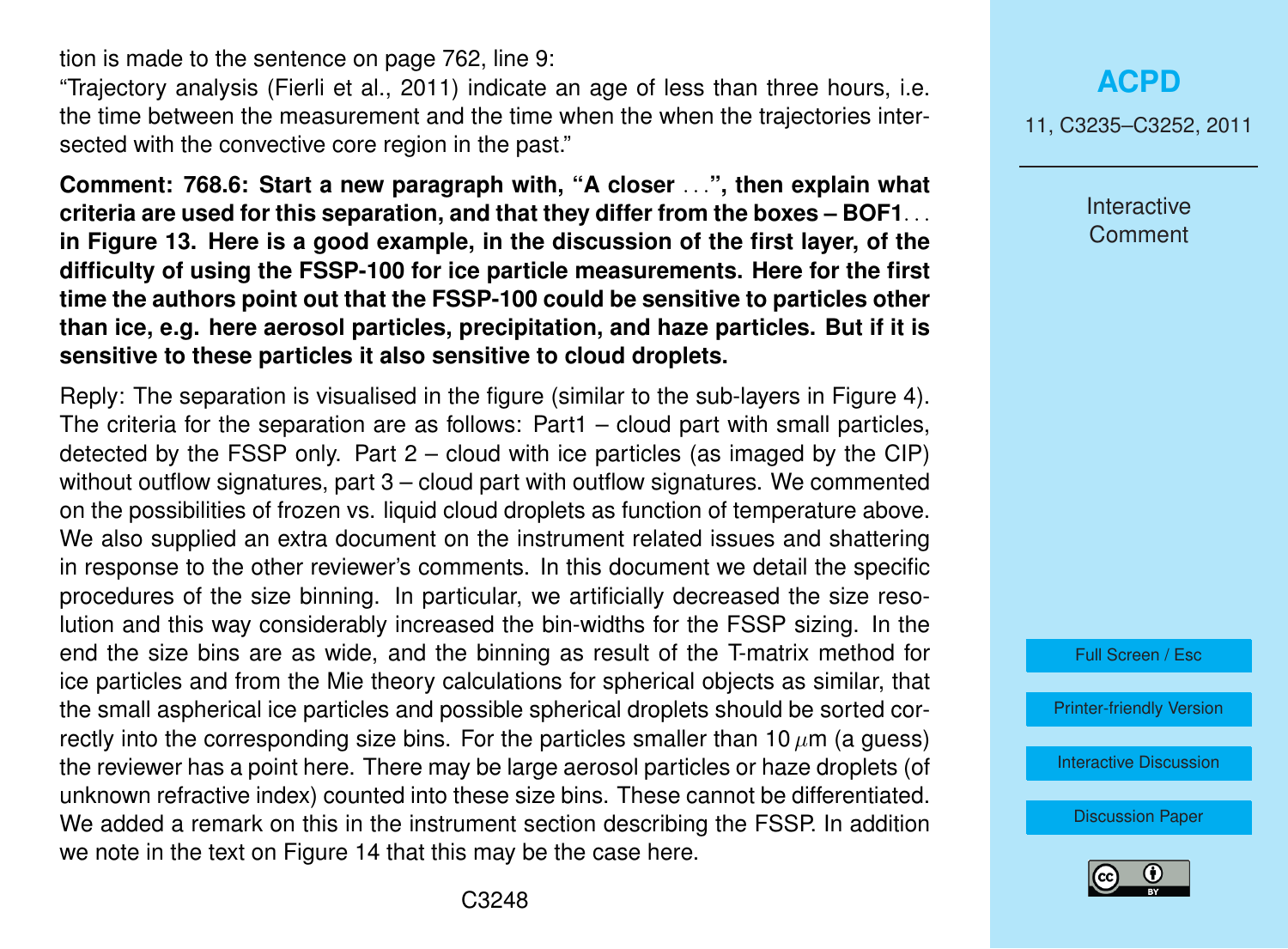tion is made to the sentence on page 762, line 9:

"Trajectory analysis (Fierli et al., 2011) indicate an age of less than three hours, i.e. the time between the measurement and the time when the when the trajectories intersected with the convective core region in the past."

**Comment: 768.6: Start a new paragraph with, "A closer** . . .**", then explain what criteria are used for this separation, and that they differ from the boxes – BOF1**. . . **in Figure 13. Here is a good example, in the discussion of the first layer, of the difficulty of using the FSSP-100 for ice particle measurements. Here for the first time the authors point out that the FSSP-100 could be sensitive to particles other than ice, e.g. here aerosol particles, precipitation, and haze particles. But if it is sensitive to these particles it also sensitive to cloud droplets.**

Reply: The separation is visualised in the figure (similar to the sub-layers in Figure 4). The criteria for the separation are as follows: Part1 – cloud part with small particles, detected by the FSSP only. Part  $2 -$  cloud with ice particles (as imaged by the CIP) without outflow signatures, part 3 – cloud part with outflow signatures. We commented on the possibilities of frozen vs. liquid cloud droplets as function of temperature above. We also supplied an extra document on the instrument related issues and shattering in response to the other reviewer's comments. In this document we detail the specific procedures of the size binning. In particular, we artificially decreased the size resolution and this way considerably increased the bin-widths for the FSSP sizing. In the end the size bins are as wide, and the binning as result of the T-matrix method for ice particles and from the Mie theory calculations for spherical objects as similar, that the small aspherical ice particles and possible spherical droplets should be sorted correctly into the corresponding size bins. For the particles smaller than 10  $\mu$ m (a guess) the reviewer has a point here. There may be large aerosol particles or haze droplets (of unknown refractive index) counted into these size bins. These cannot be differentiated. We added a remark on this in the instrument section describing the FSSP. In addition we note in the text on Figure 14 that this may be the case here.

11, C3235–C3252, 2011

Interactive **Comment** 

Full Screen / Esc

[Printer-friendly Version](http://www.atmos-chem-phys-discuss.net/11/C3235/2011/acpd-11-C3235-2011-print.pdf)

[Interactive Discussion](http://www.atmos-chem-phys-discuss.net/11/745/2011/acpd-11-745-2011-discussion.html)

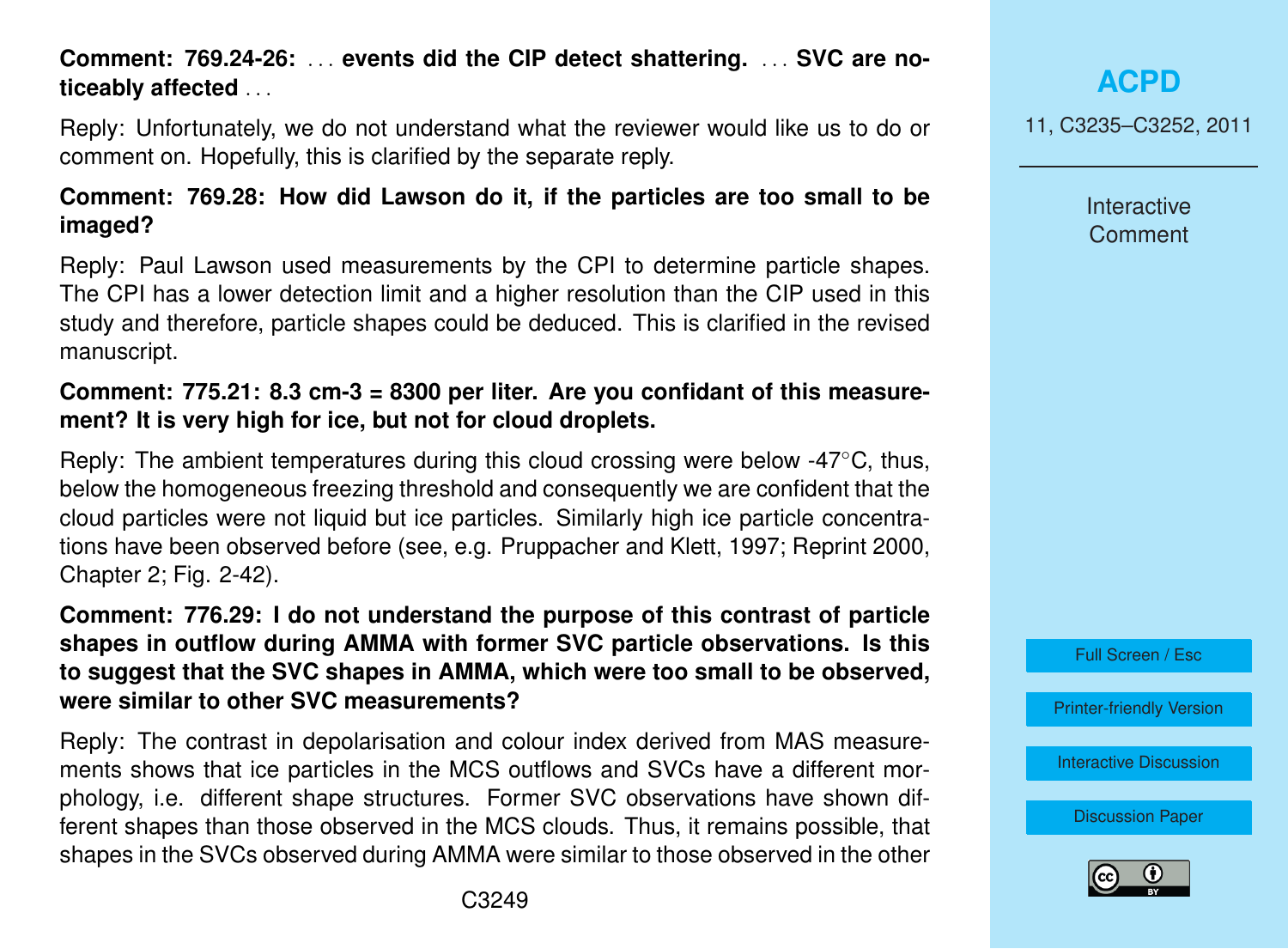### **Comment: 769.24-26:** . . . **events did the CIP detect shattering.** . . . **SVC are noticeably affected** . . .

Reply: Unfortunately, we do not understand what the reviewer would like us to do or comment on. Hopefully, this is clarified by the separate reply.

### **Comment: 769.28: How did Lawson do it, if the particles are too small to be imaged?**

Reply: Paul Lawson used measurements by the CPI to determine particle shapes. The CPI has a lower detection limit and a higher resolution than the CIP used in this study and therefore, particle shapes could be deduced. This is clarified in the revised manuscript.

### **Comment: 775.21: 8.3 cm-3 = 8300 per liter. Are you confidant of this measurement? It is very high for ice, but not for cloud droplets.**

Reply: The ambient temperatures during this cloud crossing were below -47◦C, thus, below the homogeneous freezing threshold and consequently we are confident that the cloud particles were not liquid but ice particles. Similarly high ice particle concentrations have been observed before (see, e.g. Pruppacher and Klett, 1997; Reprint 2000, Chapter 2; Fig. 2-42).

**Comment: 776.29: I do not understand the purpose of this contrast of particle shapes in outflow during AMMA with former SVC particle observations. Is this to suggest that the SVC shapes in AMMA, which were too small to be observed, were similar to other SVC measurements?**

Reply: The contrast in depolarisation and colour index derived from MAS measurements shows that ice particles in the MCS outflows and SVCs have a different morphology, i.e. different shape structures. Former SVC observations have shown different shapes than those observed in the MCS clouds. Thus, it remains possible, that shapes in the SVCs observed during AMMA were similar to those observed in the other

**[ACPD](http://www.atmos-chem-phys-discuss.net)**

11, C3235–C3252, 2011

Interactive **Comment** 



[Printer-friendly Version](http://www.atmos-chem-phys-discuss.net/11/C3235/2011/acpd-11-C3235-2011-print.pdf)

[Interactive Discussion](http://www.atmos-chem-phys-discuss.net/11/745/2011/acpd-11-745-2011-discussion.html)

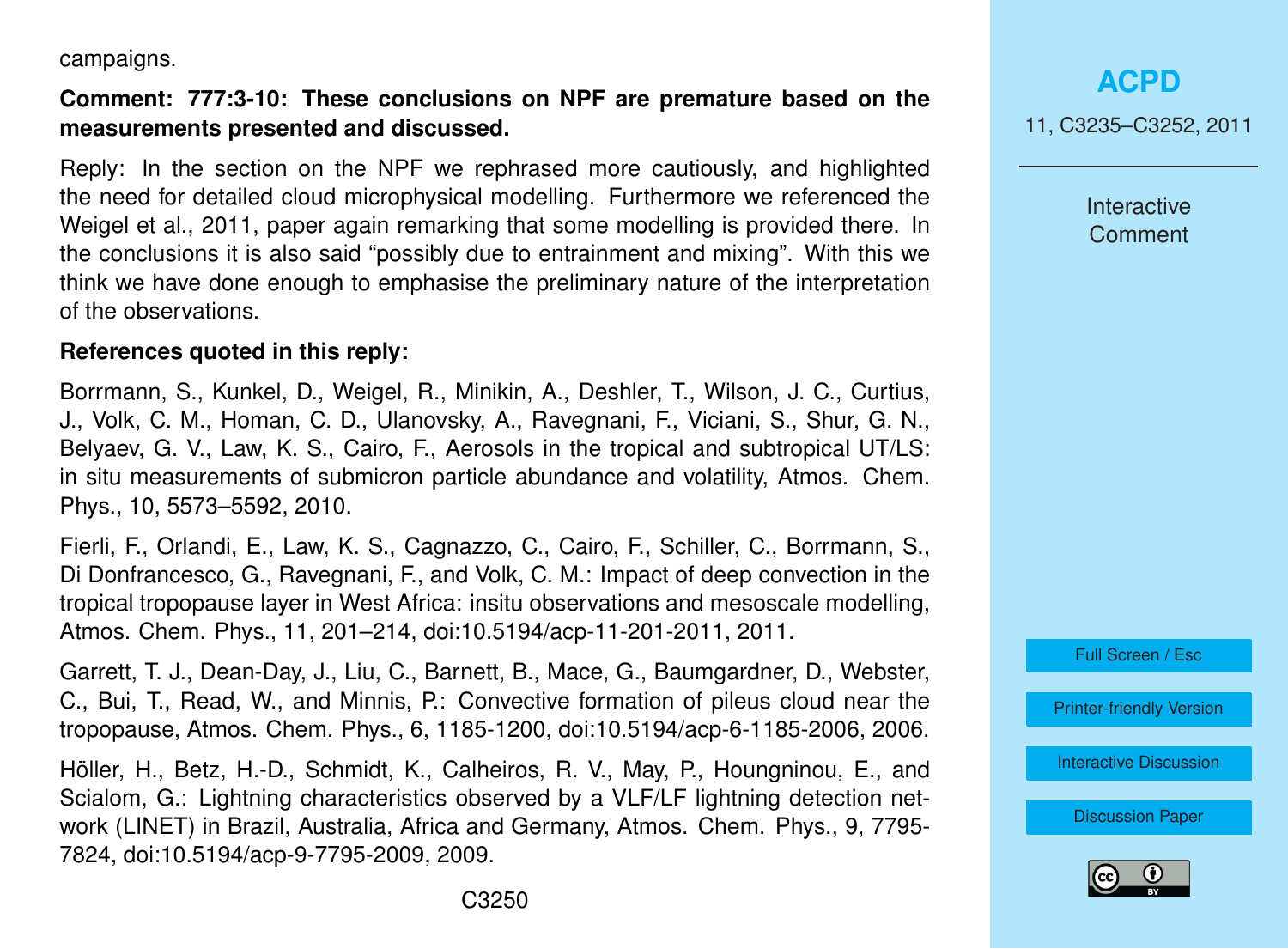campaigns.

### **Comment: 777:3-10: These conclusions on NPF are premature based on the measurements presented and discussed.**

Reply: In the section on the NPF we rephrased more cautiously, and highlighted the need for detailed cloud microphysical modelling. Furthermore we referenced the Weigel et al., 2011, paper again remarking that some modelling is provided there. In the conclusions it is also said "possibly due to entrainment and mixing". With this we think we have done enough to emphasise the preliminary nature of the interpretation of the observations.

#### **References quoted in this reply:**

Borrmann, S., Kunkel, D., Weigel, R., Minikin, A., Deshler, T., Wilson, J. C., Curtius, J., Volk, C. M., Homan, C. D., Ulanovsky, A., Ravegnani, F., Viciani, S., Shur, G. N., Belyaev, G. V., Law, K. S., Cairo, F., Aerosols in the tropical and subtropical UT/LS: in situ measurements of submicron particle abundance and volatility, Atmos. Chem. Phys., 10, 5573–5592, 2010.

Fierli, F., Orlandi, E., Law, K. S., Cagnazzo, C., Cairo, F., Schiller, C., Borrmann, S., Di Donfrancesco, G., Ravegnani, F., and Volk, C. M.: Impact of deep convection in the tropical tropopause layer in West Africa: insitu observations and mesoscale modelling, Atmos. Chem. Phys., 11, 201–214, doi:10.5194/acp-11-201-2011, 2011.

Garrett, T. J., Dean-Day, J., Liu, C., Barnett, B., Mace, G., Baumgardner, D., Webster, C., Bui, T., Read, W., and Minnis, P.: Convective formation of pileus cloud near the tropopause, Atmos. Chem. Phys., 6, 1185-1200, doi:10.5194/acp-6-1185-2006, 2006.

Höller, H., Betz, H.-D., Schmidt, K., Calheiros, R. V., May, P., Houngninou, E., and Scialom, G.: Lightning characteristics observed by a VLF/LF lightning detection network (LINET) in Brazil, Australia, Africa and Germany, Atmos. Chem. Phys., 9, 7795- 7824, doi:10.5194/acp-9-7795-2009, 2009.

**[ACPD](http://www.atmos-chem-phys-discuss.net)**

11, C3235–C3252, 2011

Interactive **Comment** 



[Printer-friendly Version](http://www.atmos-chem-phys-discuss.net/11/C3235/2011/acpd-11-C3235-2011-print.pdf)

[Interactive Discussion](http://www.atmos-chem-phys-discuss.net/11/745/2011/acpd-11-745-2011-discussion.html)

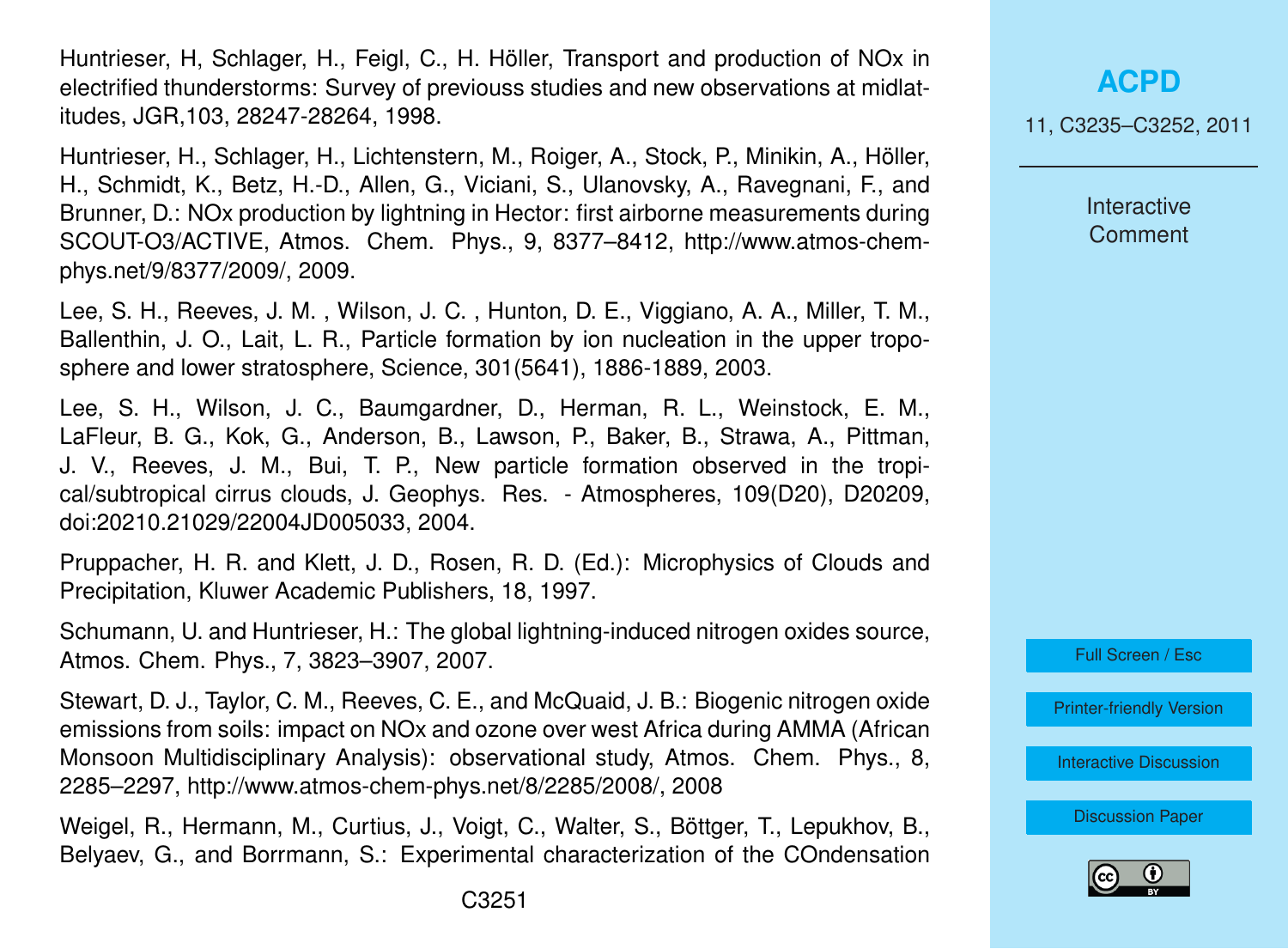Huntrieser, H, Schlager, H., Feigl, C., H. Höller, Transport and production of NOx in electrified thunderstorms: Survey of previouss studies and new observations at midlatitudes, JGR,103, 28247-28264, 1998.

Huntrieser, H., Schlager, H., Lichtenstern, M., Roiger, A., Stock, P., Minikin, A., Höller, H., Schmidt, K., Betz, H.-D., Allen, G., Viciani, S., Ulanovsky, A., Ravegnani, F., and Brunner, D.: NOx production by lightning in Hector: first airborne measurements during SCOUT-O3/ACTIVE, Atmos. Chem. Phys., 9, 8377–8412, http://www.atmos-chemphys.net/9/8377/2009/, 2009.

Lee, S. H., Reeves, J. M. , Wilson, J. C. , Hunton, D. E., Viggiano, A. A., Miller, T. M., Ballenthin, J. O., Lait, L. R., Particle formation by ion nucleation in the upper troposphere and lower stratosphere, Science, 301(5641), 1886-1889, 2003.

Lee, S. H., Wilson, J. C., Baumgardner, D., Herman, R. L., Weinstock, E. M., LaFleur, B. G., Kok, G., Anderson, B., Lawson, P., Baker, B., Strawa, A., Pittman, J. V., Reeves, J. M., Bui, T. P., New particle formation observed in the tropical/subtropical cirrus clouds, J. Geophys. Res. - Atmospheres, 109(D20), D20209, doi:20210.21029/22004JD005033, 2004.

Pruppacher, H. R. and Klett, J. D., Rosen, R. D. (Ed.): Microphysics of Clouds and Precipitation, Kluwer Academic Publishers, 18, 1997.

Schumann, U. and Huntrieser, H.: The global lightning-induced nitrogen oxides source, Atmos. Chem. Phys., 7, 3823–3907, 2007.

Stewart, D. J., Taylor, C. M., Reeves, C. E., and McQuaid, J. B.: Biogenic nitrogen oxide emissions from soils: impact on NOx and ozone over west Africa during AMMA (African Monsoon Multidisciplinary Analysis): observational study, Atmos. Chem. Phys., 8, 2285–2297, http://www.atmos-chem-phys.net/8/2285/2008/, 2008

Weigel, R., Hermann, M., Curtius, J., Voigt, C., Walter, S., Böttger, T., Lepukhov, B., Belyaev, G., and Borrmann, S.: Experimental characterization of the COndensation 11, C3235–C3252, 2011

**Interactive Comment** 



[Printer-friendly Version](http://www.atmos-chem-phys-discuss.net/11/C3235/2011/acpd-11-C3235-2011-print.pdf)

[Interactive Discussion](http://www.atmos-chem-phys-discuss.net/11/745/2011/acpd-11-745-2011-discussion.html)